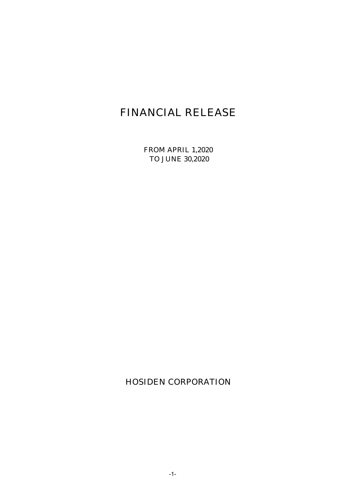# FINANCIAL RELEASE

FROM APRIL 1,2020 TO JUNE 30,2020

HOSIDEN CORPORATION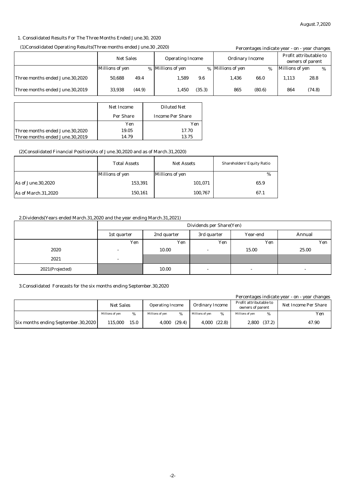#### 1. Consolidated Results For The Three Months Ended June.30, 2020

#### (1)Consolidated Operating Results(Three months ended June.30 ,2020)

| (1)Consolidated Operating Results (Three months ended June. 30, 2020) |                  |        |                         |        |                        | Percentages indicate year - on - year changes |                                            |        |  |
|-----------------------------------------------------------------------|------------------|--------|-------------------------|--------|------------------------|-----------------------------------------------|--------------------------------------------|--------|--|
|                                                                       | <b>Net Sales</b> |        | <b>Operating Income</b> |        | <b>Ordinary Income</b> |                                               | Profit attributable to<br>owners of parent |        |  |
|                                                                       | Millions of yen  |        | % Millions of yen       |        | % Millions of yen      | %                                             | Millions of yen                            | %      |  |
| Three months ended June.30,2020                                       | 50.688           | 49.4   | 1.589                   | 9.6    | 1.436                  | 66.0                                          | 1.113                                      | 28.8   |  |
| Three months ended June.30.2019                                       | 33.938           | (44.9) | 1,450                   | (35.3) | 865                    | (80.6)                                        | 864                                        | (74.8) |  |

|                                 | Net Income | <b>Diluted Net</b><br><b>Income Per Share</b> |  |
|---------------------------------|------------|-----------------------------------------------|--|
|                                 | Per Share  |                                               |  |
|                                 | Yen        | Yen                                           |  |
| Three months ended June.30,2020 | 19.05      | 17.70                                         |  |
| Three months ended June.30,2019 | 14.79      | 13.75                                         |  |

#### (2)Consolidated Financial Position(As of June.30,2020 and as of March.31,2020)

|                     | <b>Total Assets</b> | <b>Net Assets</b> | <b>Shareholders' Equity Ratio</b> |
|---------------------|---------------------|-------------------|-----------------------------------|
|                     | Millions of yen     | Millions of yen   | %                                 |
| As of June.30,2020  | 153,391             | 101,071           | 65.9                              |
| As of March.31,2020 | 150,161             | 100,767           | 67.1                              |

#### 2.Dividends(Years ended March.31,2020 and the year ending March.31,2021)

|                 | Dividends per Share(Yen) |             |                          |                          |                          |  |
|-----------------|--------------------------|-------------|--------------------------|--------------------------|--------------------------|--|
|                 | 1st quarter              | 2nd quarter | 3rd quarter              | Year-end                 | Annual                   |  |
|                 | Yen                      | Yen         | Yen                      | Yen                      | Yen                      |  |
| 2020            | $\sim$                   | 10.00       | $\overline{\phantom{a}}$ | 15.00                    | 25.00                    |  |
| 2021            | $\overline{\phantom{0}}$ |             |                          |                          |                          |  |
| 2021(Projected) |                          | 10.00       | $\overline{\phantom{a}}$ | $\overline{\phantom{0}}$ | $\overline{\phantom{a}}$ |  |

#### 3.Consolidated Forecasts for the six months ending September.30,2020

|                                            |                  |      |                         |        |                        |        |                                            |        | Percentages indicate year - on - year changes |
|--------------------------------------------|------------------|------|-------------------------|--------|------------------------|--------|--------------------------------------------|--------|-----------------------------------------------|
|                                            | <b>Net Sales</b> |      | <b>Operating Income</b> |        | <b>Ordinary Income</b> |        | Profit attributable to<br>owners of parent |        | <b>Net Income Per Share</b>                   |
|                                            | Millions of ven  | %    | Millions of ven         | %      | Millions of ven        |        | Millions of ven                            | %      | Yen                                           |
| <b>Six months ending September.30,2020</b> | 115,000          | 15.0 | 4,000                   | (29.4) | 4,000                  | (22.8) | 2,800                                      | (37.2) | 47.90                                         |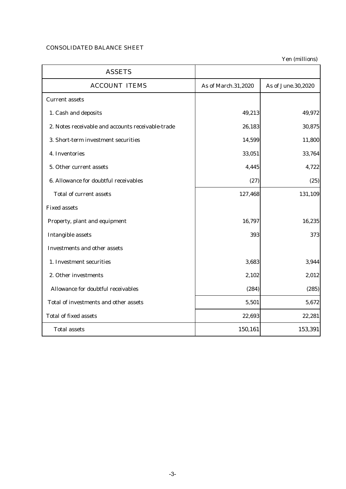## CONSOLIDATED BALANCE SHEET

| <b>ASSETS</b>                                     |                     |                    |
|---------------------------------------------------|---------------------|--------------------|
| <b>ACCOUNT ITEMS</b>                              | As of March.31,2020 | As of June.30,2020 |
| <b>Current assets</b>                             |                     |                    |
| 1. Cash and deposits                              | 49,213              | 49,972             |
| 2. Notes receivable and accounts receivable-trade | 26,183              | 30,875             |
| 3. Short-term investment securities               | 14,599              | 11,800             |
| 4. Inventories                                    | 33,051              | 33,764             |
| 5. Other current assets                           | 4,445               | 4,722              |
| 6. Allowance for doubtful receivables             | (27)                | (25)               |
| <b>Total of current assets</b>                    | 127,468             | 131,109            |
| <b>Fixed assets</b>                               |                     |                    |
| Property, plant and equipment                     | 16,797              | 16,235             |
| <b>Intangible assets</b>                          | 393                 | 373                |
| <b>Investments and other assets</b>               |                     |                    |
| 1. Investment securities                          | 3,683               | 3,944              |
| 2. Other investments                              | 2,102               | 2,012              |
| Allowance for doubtful receivables                | (284)               | (285)              |
| Total of investments and other assets             | 5,501               | 5,672              |
| <b>Total of fixed assets</b>                      | 22,693              | 22,281             |
| <b>Total assets</b>                               | 150,161             | 153,391            |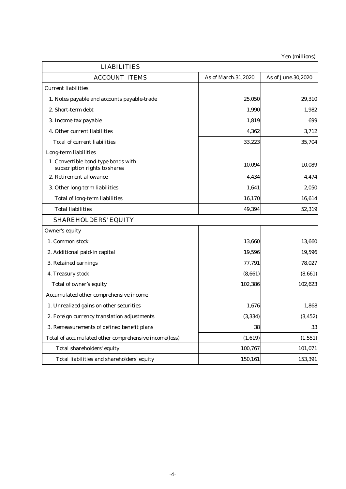| <b>LIABILITIES</b>                                                   |                     |                    |
|----------------------------------------------------------------------|---------------------|--------------------|
| <b>ACCOUNT ITEMS</b>                                                 | As of March.31,2020 | As of June.30,2020 |
| <b>Current liabilities</b>                                           |                     |                    |
| 1. Notes payable and accounts payable-trade                          | 25,050              | 29,310             |
| 2. Short-term debt                                                   | 1,990               | 1,982              |
| 3. Income tax payable                                                | 1,819               | 699                |
| 4. Other current liabilities                                         | 4,362               | 3,712              |
| <b>Total of current liabilities</b>                                  | 33,223              | 35,704             |
| Long-term liabilities                                                |                     |                    |
| 1. Convertible bond-type bonds with<br>subscription rights to shares | 10,094              | 10,089             |
| 2. Retirement allowance                                              | 4,434               | 4,474              |
| 3. Other long-term liabilities                                       | 1,641               | 2,050              |
| <b>Total of long-term liabilities</b>                                | 16,170              | 16,614             |
| <b>Total liabilities</b>                                             | 49,394              | 52,319             |
| <b>SHAREHOLDERS' EQUITY</b>                                          |                     |                    |
| Owner's equity                                                       |                     |                    |
| 1. Common stock                                                      | 13,660              | 13,660             |
| 2. Additional paid-in capital                                        | 19,596              | 19,596             |
| 3. Retained earnings                                                 | 77,791              | 78,027             |
| 4. Treasury stock                                                    | (8,661)             | (8,661)            |
| Total of owner's equity                                              | 102,386             | 102,623            |
| Accumulated other comprehensive income                               |                     |                    |
| 1. Unrealized gains on other securities                              | 1,676               | 1,868              |
| 2. Foreign currency translation adjustments                          | (3, 334)            | (3, 452)           |
| 3. Remeasurements of defined benefit plans                           | 38                  | 33                 |
| Total of accumulated other comprehensive income(loss)                | (1,619)             | (1, 551)           |
| Total shareholders' equity                                           | 100,767             | 101,071            |
| Total liabilities and shareholders' equity                           | 150,161             | 153,391            |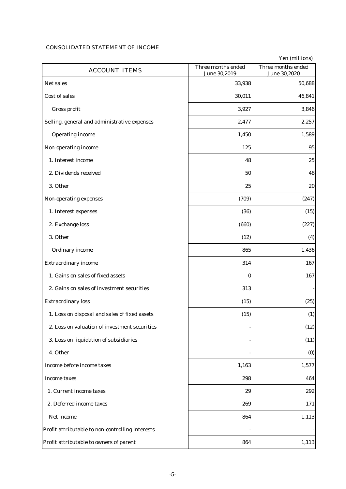## CONSOLIDATED STATEMENT OF INCOME

| <b>ACCOUNT ITEMS</b>                             | Three months ended<br>June.30,2019 | Three months ended<br>June.30,2020 |
|--------------------------------------------------|------------------------------------|------------------------------------|
| Net sales                                        | 33,938                             | 50,688                             |
| Cost of sales                                    | 30,011                             | 46,841                             |
| Gross profit                                     | 3,927                              | 3,846                              |
| Selling, general and administrative expenses     | 2,477                              | 2,257                              |
| <b>Operating income</b>                          | 1,450                              | 1,589                              |
| Non-operating income                             | 125                                | 95                                 |
| 1. Interest income                               | 48                                 | 25                                 |
| 2. Dividends received                            | 50                                 | 48                                 |
| 3. Other                                         | 25                                 | 20                                 |
| Non-operating expenses                           | (709)                              | (247)                              |
| 1. Interest expenses                             | (36)                               | (15)                               |
| 2. Exchange loss                                 | (660)                              | (227)                              |
| 3. Other                                         | (12)                               | (4)                                |
| <b>Ordinary income</b>                           | 865                                | 1,436                              |
| <b>Extraordinary income</b>                      | 314                                | 167                                |
| 1. Gains on sales of fixed assets                | $\bf{0}$                           | 167                                |
| 2. Gains on sales of investment securities       | 313                                |                                    |
| <b>Extraordinary loss</b>                        | (15)                               | (25)                               |
| 1. Loss on disposal and sales of fixed assets    | (15)                               | (1)                                |
| 2. Loss on valuation of investment securities    |                                    | (12)                               |
| 3. Loss on liquidation of subsidiaries           |                                    | (11)                               |
| 4. Other                                         |                                    | (0)                                |
| Income before income taxes                       | 1,163                              | 1,577                              |
| <b>Income taxes</b>                              | 298                                | 464                                |
| 1. Current income taxes                          | 29                                 | 292                                |
| 2. Deferred income taxes                         | 269                                | 171                                |
| Net income                                       | 864                                | 1,113                              |
| Profit attributable to non-controlling interests |                                    |                                    |
| Profit attributable to owners of parent          | 864                                | 1,113                              |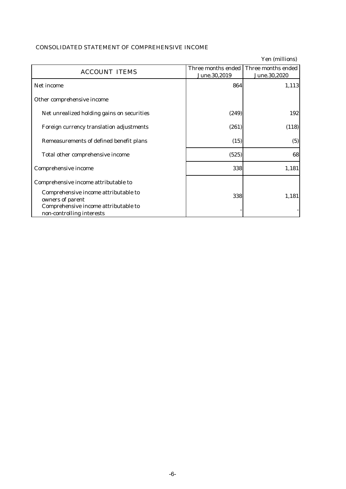## CONSOLIDATED STATEMENT OF COMPREHENSIVE INCOME

Yen (millions) **ACCOUNT ITEMS** June.30,2019 Three months ended Three months ended June.30,2020 Net income 864 1,113 Other comprehensive income Net unrealized holding gains on securities (249) (249) Foreign currency translation adjustments (261) (261) (118) Remeasurements of defined benefit plans  $(15)$   $(5)$ Total other comprehensive income (525) Comprehensive income 338 1,181 Comprehensive income attributable to Comprehensive income attributable to omprehensive income attributable to  $338$  338 1,181 Comprehensive income attributable to non-controlling interests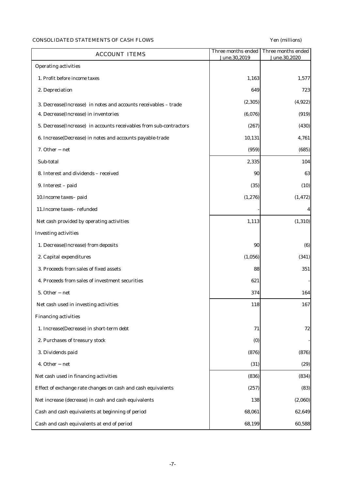## CONSOLIDATED STATEMENTS OF CASH FLOWS Yen (millions)

| <b>ACCOUNT ITEMS</b>                                               | Three months ended<br>June.30,2019 | Three months ended<br>June.30,2020 |
|--------------------------------------------------------------------|------------------------------------|------------------------------------|
| <b>Operating activities</b>                                        |                                    |                                    |
| 1. Profit before income taxes                                      | 1,163                              | 1,577                              |
| 2. Depreciation                                                    | 649                                | 723                                |
| 3. Decrease(Increase) in notes and accounts receivables - trade    | (2, 305)                           | (4, 922)                           |
| 4. Decrease(Increase) in inventories                               | (6,076)                            | (919)                              |
| 5. Decrease(Increase) in accounts receivables from sub-contractors | (267)                              | (430)                              |
| 6. Increase(Decrease) in notes and accounts payable-trade          | 10,131                             | 4,761                              |
| 7. Other net                                                       | (959)                              | (685)                              |
| Sub-total                                                          | 2,335                              | 104                                |
| 8. Interest and dividends - received                               | 90                                 | 63                                 |
| 9. Interest - paid                                                 | (35)                               | (10)                               |
| 10. Income taxes- paid                                             | (1, 276)                           | (1, 472)                           |
| 11. Income taxes-refunded                                          |                                    | 4                                  |
| Net cash provided by operating activities                          | 1,113                              | (1, 310)                           |
| <b>Investing activities</b>                                        |                                    |                                    |
| 1. Decrease(Increase) from deposits                                | 90                                 | (6)                                |
| 2. Capital expenditures                                            | (1,056)                            | (341)                              |
| 3. Proceeds from sales of fixed assets                             | 88                                 | 351                                |
| 4. Proceeds from sales of investment securities                    | 621                                |                                    |
| 5. Other net                                                       | 374                                | 164                                |
| Net cash used in investing activities                              | 118                                | 167                                |
| <b>Financing activities</b>                                        |                                    |                                    |
| 1. Increase(Decrease) in short-term debt                           | 71                                 | 72                                 |
| 2. Purchases of treasury stock                                     | (0)                                |                                    |
| 3. Dividends paid                                                  | (876)                              | (876)                              |
| 4. Other net                                                       | (31)                               | (29)                               |
| Net cash used in financing activities                              | (836)                              | (834)                              |
| Effect of exchange rate changes on cash and cash equivalents       | (257)                              | (83)                               |
| Net increase (decrease) in cash and cash equivalents               | 138                                | (2,060)                            |
| Cash and cash equivalents at beginning of period                   | 68,061                             | 62,649                             |
| Cash and cash equivalents at end of period                         | 68,199                             | 60,588                             |